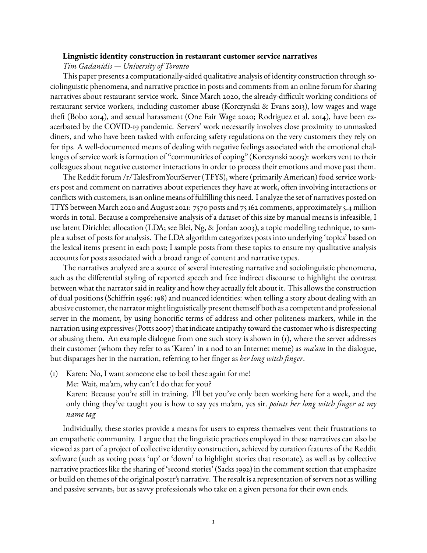## **Linguistic identity construction in restaurant customer service narratives**

*Tim Gadanidis — University of Toronto*

This paper presents a computationally-aided qualitative analysis of identity construction through sociolinguistic phenomena, and narrative practice in posts and comments from an online forum for sharing narratives about restaurant service work. Since March 2020, the already-difficult working conditions of restaurant service workers, including customer abuse (Korczynski & Evans 2013), low wages and wage theft (Bobo 2014), and sexual harassment (One Fair Wage 2020; Rodriguez et al. 2014), have been exacerbated by the COVID-19 pandemic. Servers' work necessarily involves close proximity to unmasked diners, and who have been tasked with enforcing safety regulations on the very customers they rely on for tips. A well-documented means of dealing with negative feelings associated with the emotional challenges of service work is formation of "communities of coping" (Korczynski 2003): workers vent to their colleagues about negative customer interactions in order to process their emotions and move past them.

The Reddit forum /r/TalesFromYourServer (TFYS), where (primarily American) food service workers post and comment on narratives about experiences they have at work, often involving interactions or conflicts with customers, is an online means of fulfilling this need. I analyze the set of narratives posted on TFYS between March 2020 and August 2021: 7570 posts and 75 162 comments, approximately 5.4 million words in total. Because a comprehensive analysis of a dataset of this size by manual means is infeasible, I use latent Dirichlet allocation (LDA; see Blei, Ng, & Jordan 2003), a topic modelling technique, to sample a subset of posts for analysis. The LDA algorithm categorizes posts into underlying 'topics' based on the lexical items present in each post; I sample posts from these topics to ensure my qualitative analysis accounts for posts associated with a broad range of content and narrative types.

The narratives analyzed are a source of several interesting narrative and sociolinguistic phenomena, such as the differential styling of reported speech and free indirect discourse to highlight the contrast between what the narrator said in reality and how they actually felt about it. This allows the construction of dual positions (Schiffrin 1996: 198) and nuanced identities: when telling a story about dealing with an abusive customer, the narrator might linguistically present themself both as a competent and professional server in the moment, by using honorific terms of address and other politeness markers, while in the narration using expressives (Potts 2007) that indicate antipathy toward the customer who is disrespecting or abusing them. An example dialogue from one such story is shown in (1), where the server addresses their customer (whom they refer to as 'Karen' in a nod to an Internet meme) as *ma'am* in the dialogue, but disparages her in the narration, referring to her finger as *her long witch finger*.

(1) Karen: No, I want someone else to boil these again for me!

Me: Wait, ma'am, why can't I do that for you?

Karen: Because you're still in training. I'll bet you've only been working here for a week, and the only thing they've taught you is how to say yes ma'am, yes sir. *points her long witch finger at my name tag*

Individually, these stories provide a means for users to express themselves vent their frustrations to an empathetic community. I argue that the linguistic practices employed in these narratives can also be viewed as part of a project of collective identity construction, achieved by curation features of the Reddit software (such as voting posts 'up' or 'down' to highlight stories that resonate), as well as by collective narrative practices like the sharing of 'second stories' (Sacks 1992) in the comment section that emphasize or build on themes of the original poster's narrative. The result is a representation of servers not as willing and passive servants, but as savvy professionals who take on a given persona for their own ends.